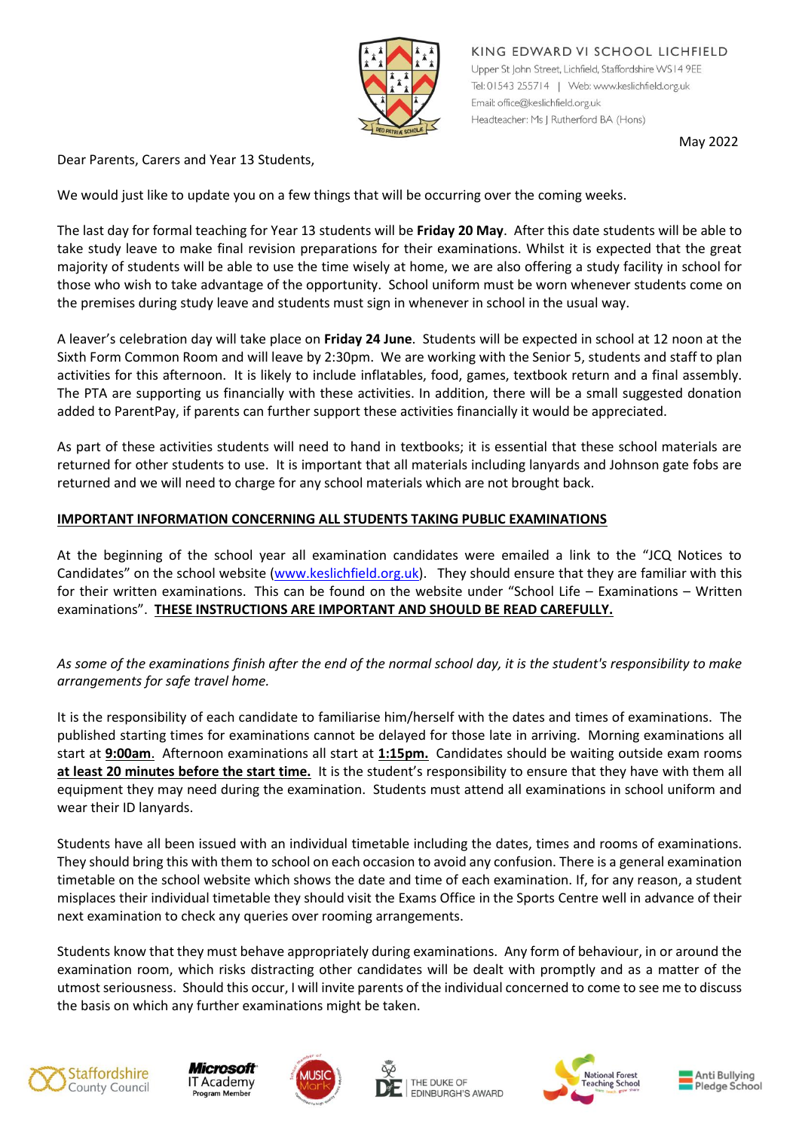

KING EDWARD VI SCHOOL LICHFIELD Upper St John Street, Lichfield, Staffordshire WS14 9EE Tel: 01543 255714 | Web: www.keslichfield.org.uk Email: office@keslichfield.org.uk Headteacher: Ms J Rutherford BA (Hons)

May 2022

Dear Parents, Carers and Year 13 Students,

We would just like to update you on a few things that will be occurring over the coming weeks.

The last day for formal teaching for Year 13 students will be **Friday 20 May**. After this date students will be able to take study leave to make final revision preparations for their examinations. Whilst it is expected that the great majority of students will be able to use the time wisely at home, we are also offering a study facility in school for those who wish to take advantage of the opportunity. School uniform must be worn whenever students come on the premises during study leave and students must sign in whenever in school in the usual way.

A leaver's celebration day will take place on **Friday 24 June**. Students will be expected in school at 12 noon at the Sixth Form Common Room and will leave by 2:30pm. We are working with the Senior 5, students and staff to plan activities for this afternoon. It is likely to include inflatables, food, games, textbook return and a final assembly. The PTA are supporting us financially with these activities. In addition, there will be a small suggested donation added to ParentPay, if parents can further support these activities financially it would be appreciated.

As part of these activities students will need to hand in textbooks; it is essential that these school materials are returned for other students to use. It is important that all materials including lanyards and Johnson gate fobs are returned and we will need to charge for any school materials which are not brought back.

## **IMPORTANT INFORMATION CONCERNING ALL STUDENTS TAKING PUBLIC EXAMINATIONS**

At the beginning of the school year all examination candidates were emailed a link to the "JCQ Notices to Candidates" on the school website ([www.keslichfield.org.uk](http://www.keslichfield.org.uk/)). They should ensure that they are familiar with this for their written examinations.  This can be found on the website under "School Life – Examinations – Written examinations".  **THESE INSTRUCTIONS ARE IMPORTANT AND SHOULD BE READ CAREFULLY.**

*As some of the examinations finish after the end of the normal school day, it is the student's responsibility to make arrangements for safe travel home.*

It is the responsibility of each candidate to familiarise him/herself with the dates and times of examinations. The published starting times for examinations cannot be delayed for those late in arriving. Morning examinations all start at **9:00am**. Afternoon examinations all start at **1:15pm.** Candidates should be waiting outside exam rooms **at least 20 minutes before the start time.** It is the student's responsibility to ensure that they have with them all equipment they may need during the examination. Students must attend all examinations in school uniform and wear their ID lanyards.

Students have all been issued with an individual timetable including the dates, times and rooms of examinations. They should bring this with them to school on each occasion to avoid any confusion. There is a general examination timetable on the school website which shows the date and time of each examination. If, for any reason, a student misplaces their individual timetable they should visit the Exams Office in the Sports Centre well in advance of their next examination to check any queries over rooming arrangements.

Students know that they must behave appropriately during examinations. Any form of behaviour, in or around the examination room, which risks distracting other candidates will be dealt with promptly and as a matter of the utmost seriousness. Should this occur, I will invite parents of the individual concerned to come to see me to discuss the basis on which any further examinations might be taken.











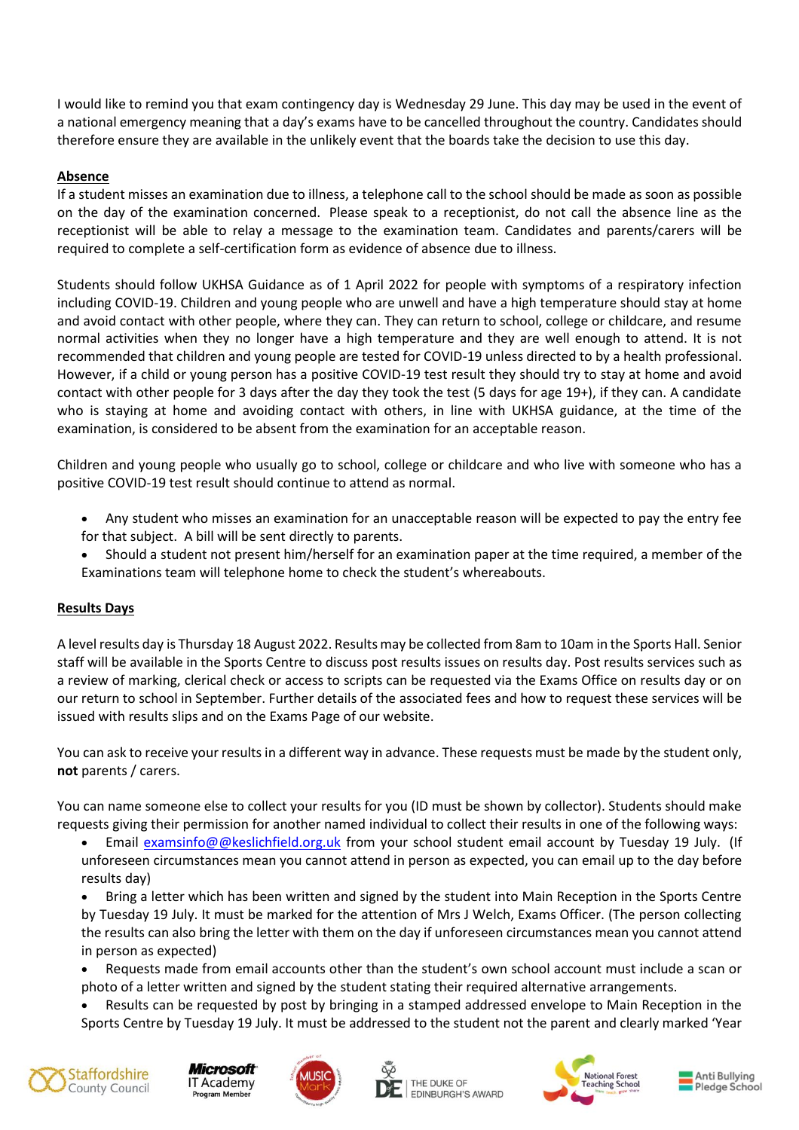I would like to remind you that exam contingency day is Wednesday 29 June. This day may be used in the event of a national emergency meaning that a day's exams have to be cancelled throughout the country. Candidates should therefore ensure they are available in the unlikely event that the boards take the decision to use this day.

## **Absence**

If a student misses an examination due to illness, a telephone call to the school should be made as soon as possible on the day of the examination concerned. Please speak to a receptionist, do not call the absence line as the receptionist will be able to relay a message to the examination team. Candidates and parents/carers will be required to complete a self-certification form as evidence of absence due to illness.

Students should follow UKHSA Guidance as of 1 April 2022 for people with symptoms of a respiratory infection including COVID-19. Children and young people who are unwell and have a high temperature should stay at home and avoid contact with other people, where they can. They can return to school, college or childcare, and resume normal activities when they no longer have a high temperature and they are well enough to attend. It is not recommended that children and young people are tested for COVID-19 unless directed to by a health professional. However, if a child or young person has a positive COVID-19 test result they should try to stay at home and avoid contact with other people for 3 days after the day they took the test (5 days for age 19+), if they can. A candidate who is staying at home and avoiding contact with others, in line with UKHSA guidance, at the time of the examination, is considered to be absent from the examination for an acceptable reason.

Children and young people who usually go to school, college or childcare and who live with someone who has a positive COVID-19 test result should continue to attend as normal.

- Any student who misses an examination for an unacceptable reason will be expected to pay the entry fee for that subject. A bill will be sent directly to parents.
- Should a student not present him/herself for an examination paper at the time required, a member of the Examinations team will telephone home to check the student's whereabouts.

## **Results Days**

A level results day is Thursday 18 August 2022. Results may be collected from 8am to 10am in the Sports Hall. Senior staff will be available in the Sports Centre to discuss post results issues on results day. Post results services such as a review of marking, clerical check or access to scripts can be requested via the Exams Office on results day or on our return to school in September. Further details of the associated fees and how to request these services will be issued with results slips and on the Exams Page of our website.

You can ask to receive your results in a different way in advance. These requests must be made by the student only, **not** parents / carers.

You can name someone else to collect your results for you (ID must be shown by collector). Students should make requests giving their permission for another named individual to collect their results in one of the following ways:

Email [examsinfo@@keslichfield.org.uk](mailto:examsinfo@@keslichfield.org.uk) from your school student email account by Tuesday 19 July. (If unforeseen circumstances mean you cannot attend in person as expected, you can email up to the day before results day)

 Bring a letter which has been written and signed by the student into Main Reception in the Sports Centre by Tuesday 19 July. It must be marked for the attention of Mrs J Welch, Exams Officer. (The person collecting the results can also bring the letter with them on the day if unforeseen circumstances mean you cannot attend in person as expected)

- Requests made from email accounts other than the student's own school account must include a scan or photo of a letter written and signed by the student stating their required alternative arrangements.
- Results can be requested by post by bringing in a stamped addressed envelope to Main Reception in the Sports Centre by Tuesday 19 July. It must be addressed to the student not the parent and clearly marked 'Year